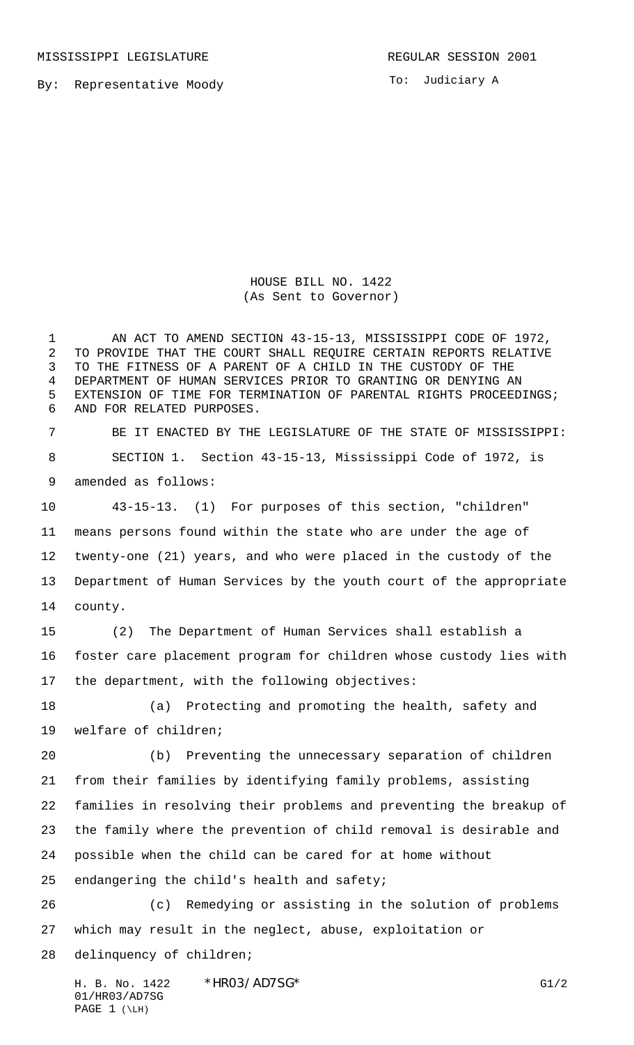By: Representative Moody

To: Judiciary A

HOUSE BILL NO. 1422 (As Sent to Governor)

 AN ACT TO AMEND SECTION 43-15-13, MISSISSIPPI CODE OF 1972, TO PROVIDE THAT THE COURT SHALL REQUIRE CERTAIN REPORTS RELATIVE TO THE FITNESS OF A PARENT OF A CHILD IN THE CUSTODY OF THE DEPARTMENT OF HUMAN SERVICES PRIOR TO GRANTING OR DENYING AN EXTENSION OF TIME FOR TERMINATION OF PARENTAL RIGHTS PROCEEDINGS; AND FOR RELATED PURPOSES.

 BE IT ENACTED BY THE LEGISLATURE OF THE STATE OF MISSISSIPPI: SECTION 1. Section 43-15-13, Mississippi Code of 1972, is amended as follows:

 43-15-13. (1) For purposes of this section, "children" means persons found within the state who are under the age of twenty-one (21) years, and who were placed in the custody of the Department of Human Services by the youth court of the appropriate county.

 (2) The Department of Human Services shall establish a foster care placement program for children whose custody lies with the department, with the following objectives:

 (a) Protecting and promoting the health, safety and welfare of children;

 (b) Preventing the unnecessary separation of children from their families by identifying family problems, assisting families in resolving their problems and preventing the breakup of the family where the prevention of child removal is desirable and possible when the child can be cared for at home without endangering the child's health and safety;

 (c) Remedying or assisting in the solution of problems which may result in the neglect, abuse, exploitation or delinquency of children;

H. B. No. 1422 \* HRO3/AD7SG\* G1/2 01/HR03/AD7SG PAGE ( $\Leftrightarrow$ LH)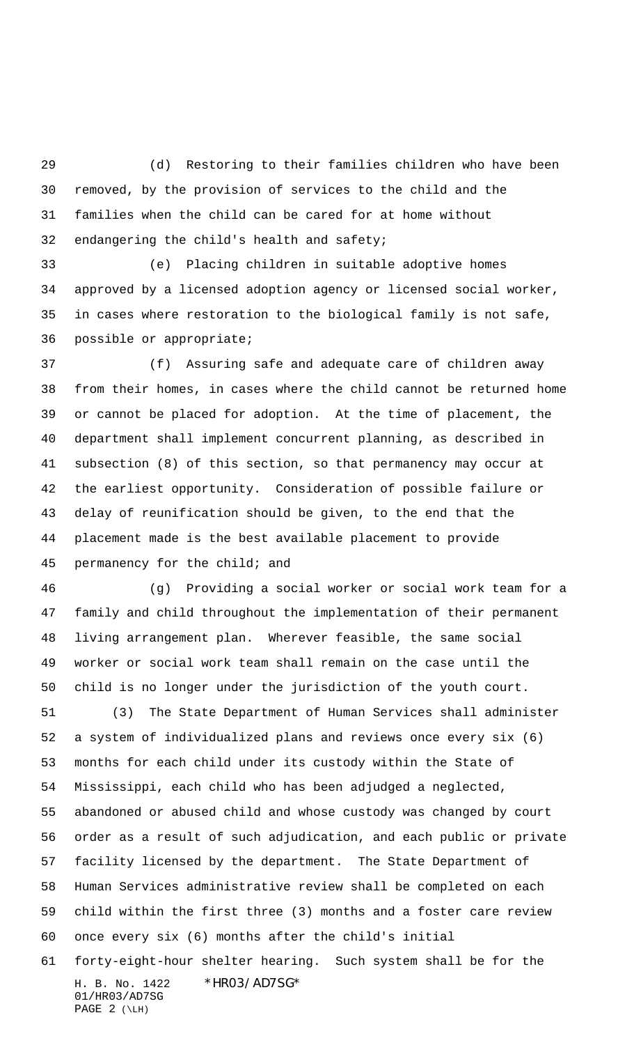(d) Restoring to their families children who have been removed, by the provision of services to the child and the families when the child can be cared for at home without endangering the child's health and safety;

 (e) Placing children in suitable adoptive homes approved by a licensed adoption agency or licensed social worker, in cases where restoration to the biological family is not safe, possible or appropriate;

 (f) Assuring safe and adequate care of children away from their homes, in cases where the child cannot be returned home or cannot be placed for adoption. At the time of placement, the department shall implement concurrent planning, as described in subsection (8) of this section, so that permanency may occur at the earliest opportunity. Consideration of possible failure or delay of reunification should be given, to the end that the placement made is the best available placement to provide permanency for the child; and

 (g) Providing a social worker or social work team for a family and child throughout the implementation of their permanent living arrangement plan. Wherever feasible, the same social worker or social work team shall remain on the case until the child is no longer under the jurisdiction of the youth court.

 (3) The State Department of Human Services shall administer a system of individualized plans and reviews once every six (6) months for each child under its custody within the State of Mississippi, each child who has been adjudged a neglected, abandoned or abused child and whose custody was changed by court order as a result of such adjudication, and each public or private facility licensed by the department. The State Department of Human Services administrative review shall be completed on each child within the first three (3) months and a foster care review once every six (6) months after the child's initial

H. B. No. 1422 \*HR03/AD7SG\* 01/HR03/AD7SG PAGE  $2 (\Leftrightarrow$ forty-eight-hour shelter hearing. Such system shall be for the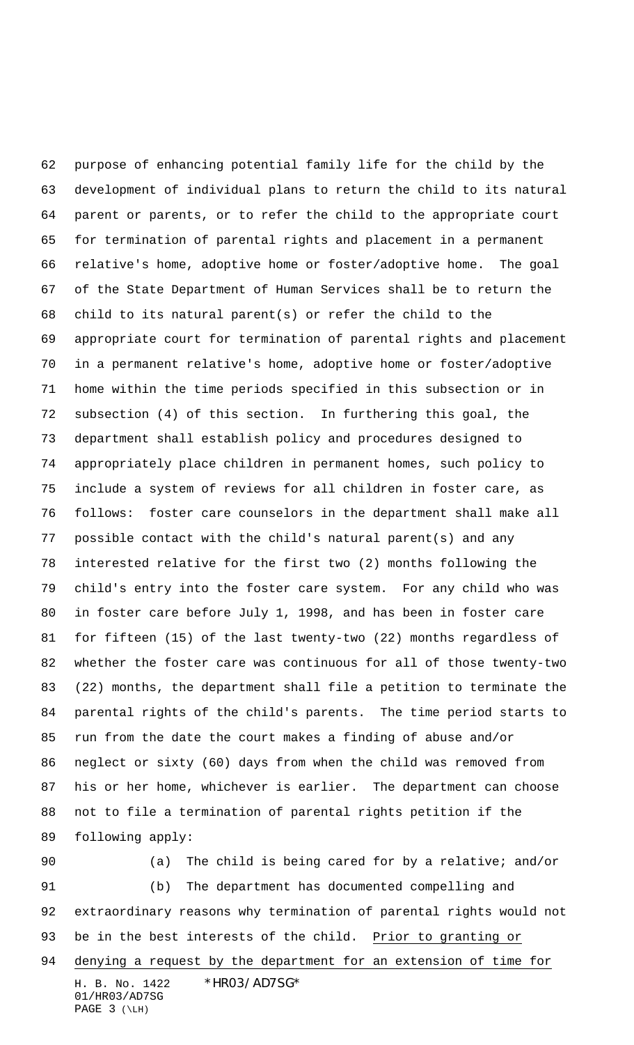purpose of enhancing potential family life for the child by the development of individual plans to return the child to its natural parent or parents, or to refer the child to the appropriate court for termination of parental rights and placement in a permanent relative's home, adoptive home or foster/adoptive home. The goal of the State Department of Human Services shall be to return the child to its natural parent(s) or refer the child to the appropriate court for termination of parental rights and placement in a permanent relative's home, adoptive home or foster/adoptive home within the time periods specified in this subsection or in subsection (4) of this section. In furthering this goal, the department shall establish policy and procedures designed to appropriately place children in permanent homes, such policy to include a system of reviews for all children in foster care, as follows: foster care counselors in the department shall make all possible contact with the child's natural parent(s) and any interested relative for the first two (2) months following the child's entry into the foster care system. For any child who was in foster care before July 1, 1998, and has been in foster care for fifteen (15) of the last twenty-two (22) months regardless of whether the foster care was continuous for all of those twenty-two (22) months, the department shall file a petition to terminate the parental rights of the child's parents. The time period starts to run from the date the court makes a finding of abuse and/or neglect or sixty (60) days from when the child was removed from his or her home, whichever is earlier. The department can choose not to file a termination of parental rights petition if the following apply:

H. B. No. 1422 \*HR03/AD7SG\* 01/HR03/AD7SG PAGE ( $\Leftrightarrow$ LH) (a) The child is being cared for by a relative; and/or (b) The department has documented compelling and extraordinary reasons why termination of parental rights would not 93 be in the best interests of the child. Prior to granting or denying a request by the department for an extension of time for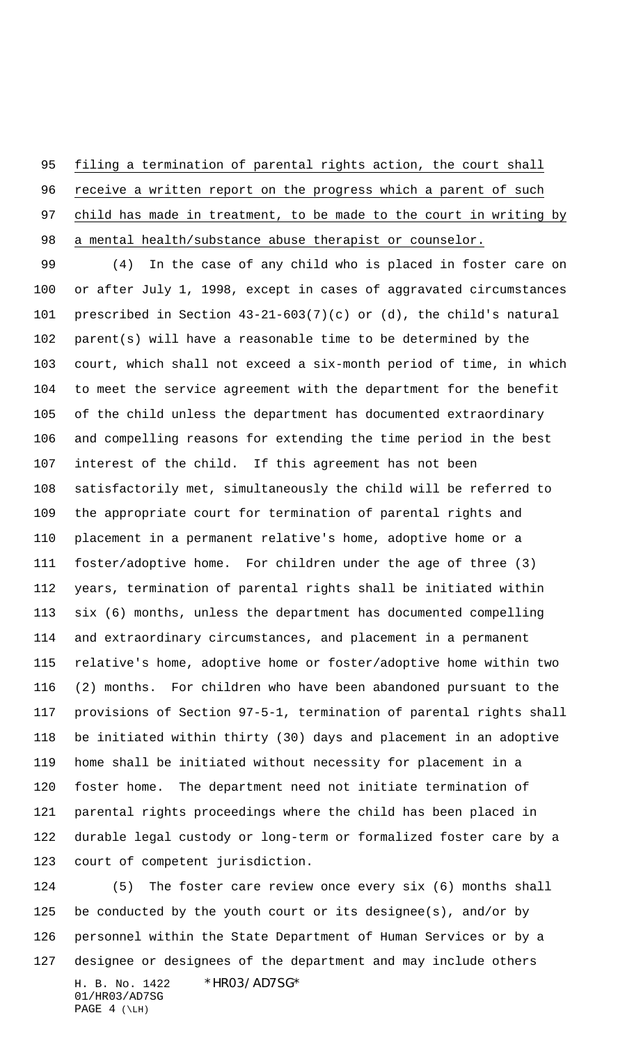filing a termination of parental rights action, the court shall

 receive a written report on the progress which a parent of such child has made in treatment, to be made to the court in writing by 98 a mental health/substance abuse therapist or counselor.

 (4) In the case of any child who is placed in foster care on or after July 1, 1998, except in cases of aggravated circumstances prescribed in Section 43-21-603(7)(c) or (d), the child's natural parent(s) will have a reasonable time to be determined by the court, which shall not exceed a six-month period of time, in which to meet the service agreement with the department for the benefit of the child unless the department has documented extraordinary and compelling reasons for extending the time period in the best interest of the child. If this agreement has not been satisfactorily met, simultaneously the child will be referred to the appropriate court for termination of parental rights and placement in a permanent relative's home, adoptive home or a foster/adoptive home. For children under the age of three (3) years, termination of parental rights shall be initiated within six (6) months, unless the department has documented compelling and extraordinary circumstances, and placement in a permanent relative's home, adoptive home or foster/adoptive home within two (2) months. For children who have been abandoned pursuant to the provisions of Section 97-5-1, termination of parental rights shall be initiated within thirty (30) days and placement in an adoptive home shall be initiated without necessity for placement in a foster home. The department need not initiate termination of parental rights proceedings where the child has been placed in durable legal custody or long-term or formalized foster care by a court of competent jurisdiction.

H. B. No. 1422 \*HR03/AD7SG\* 01/HR03/AD7SG PAGE  $4 (\Leftrightarrow$  (5) The foster care review once every six (6) months shall be conducted by the youth court or its designee(s), and/or by personnel within the State Department of Human Services or by a designee or designees of the department and may include others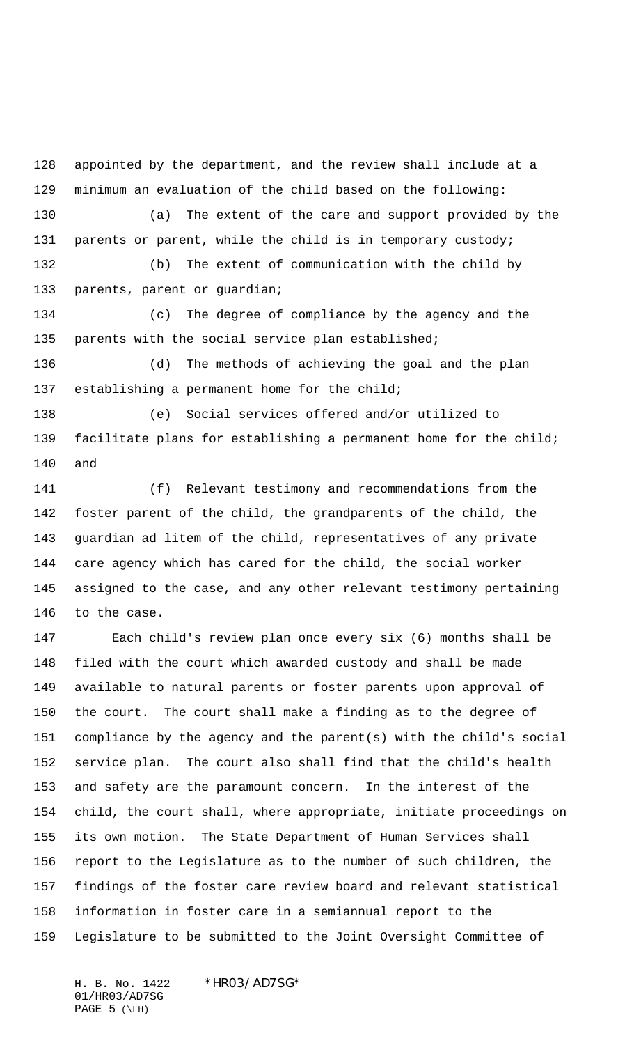appointed by the department, and the review shall include at a minimum an evaluation of the child based on the following: (a) The extent of the care and support provided by the parents or parent, while the child is in temporary custody; (b) The extent of communication with the child by 133 parents, parent or guardian;

 (c) The degree of compliance by the agency and the parents with the social service plan established;

 (d) The methods of achieving the goal and the plan 137 establishing a permanent home for the child;

 (e) Social services offered and/or utilized to facilitate plans for establishing a permanent home for the child; and

 (f) Relevant testimony and recommendations from the foster parent of the child, the grandparents of the child, the guardian ad litem of the child, representatives of any private care agency which has cared for the child, the social worker assigned to the case, and any other relevant testimony pertaining to the case.

 Each child's review plan once every six (6) months shall be filed with the court which awarded custody and shall be made available to natural parents or foster parents upon approval of the court. The court shall make a finding as to the degree of compliance by the agency and the parent(s) with the child's social service plan. The court also shall find that the child's health and safety are the paramount concern. In the interest of the child, the court shall, where appropriate, initiate proceedings on its own motion. The State Department of Human Services shall report to the Legislature as to the number of such children, the findings of the foster care review board and relevant statistical information in foster care in a semiannual report to the Legislature to be submitted to the Joint Oversight Committee of

H. B. No. 1422 \* HRO3/AD7SG\* 01/HR03/AD7SG PAGE ( $\Leftrightarrow$ LH)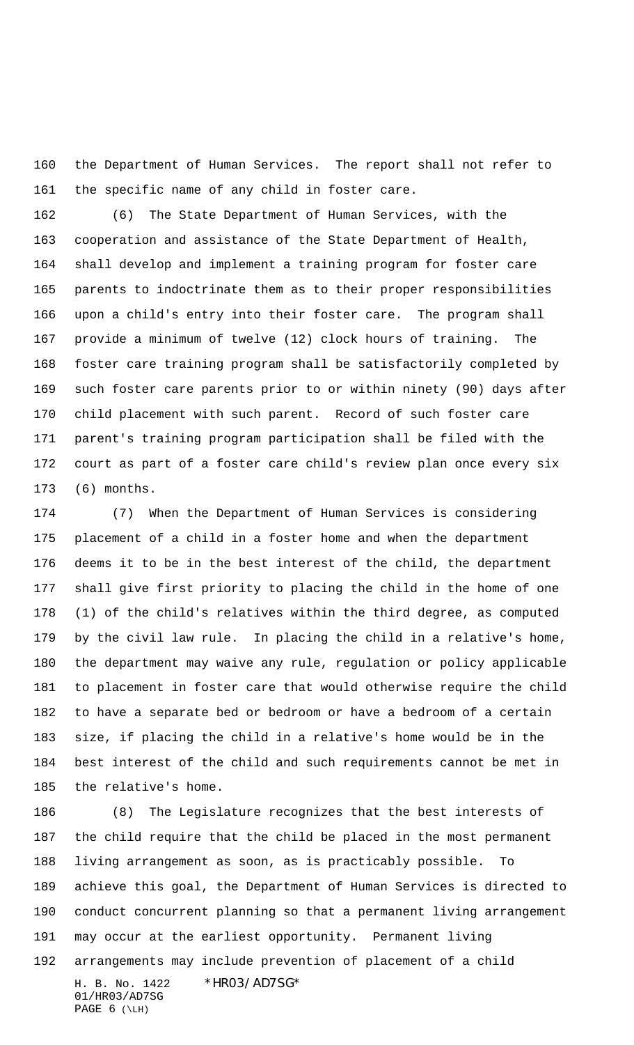the Department of Human Services. The report shall not refer to the specific name of any child in foster care.

 (6) The State Department of Human Services, with the cooperation and assistance of the State Department of Health, shall develop and implement a training program for foster care parents to indoctrinate them as to their proper responsibilities upon a child's entry into their foster care. The program shall provide a minimum of twelve (12) clock hours of training. The foster care training program shall be satisfactorily completed by such foster care parents prior to or within ninety (90) days after child placement with such parent. Record of such foster care parent's training program participation shall be filed with the court as part of a foster care child's review plan once every six (6) months.

 (7) When the Department of Human Services is considering placement of a child in a foster home and when the department deems it to be in the best interest of the child, the department shall give first priority to placing the child in the home of one (1) of the child's relatives within the third degree, as computed by the civil law rule. In placing the child in a relative's home, the department may waive any rule, regulation or policy applicable to placement in foster care that would otherwise require the child to have a separate bed or bedroom or have a bedroom of a certain size, if placing the child in a relative's home would be in the best interest of the child and such requirements cannot be met in the relative's home.

H. B. No. 1422 \*HR03/AD7SG\* 01/HR03/AD7SG PAGE  $6 (\Leftrightarrow$  (8) The Legislature recognizes that the best interests of the child require that the child be placed in the most permanent living arrangement as soon, as is practicably possible. To achieve this goal, the Department of Human Services is directed to conduct concurrent planning so that a permanent living arrangement may occur at the earliest opportunity. Permanent living arrangements may include prevention of placement of a child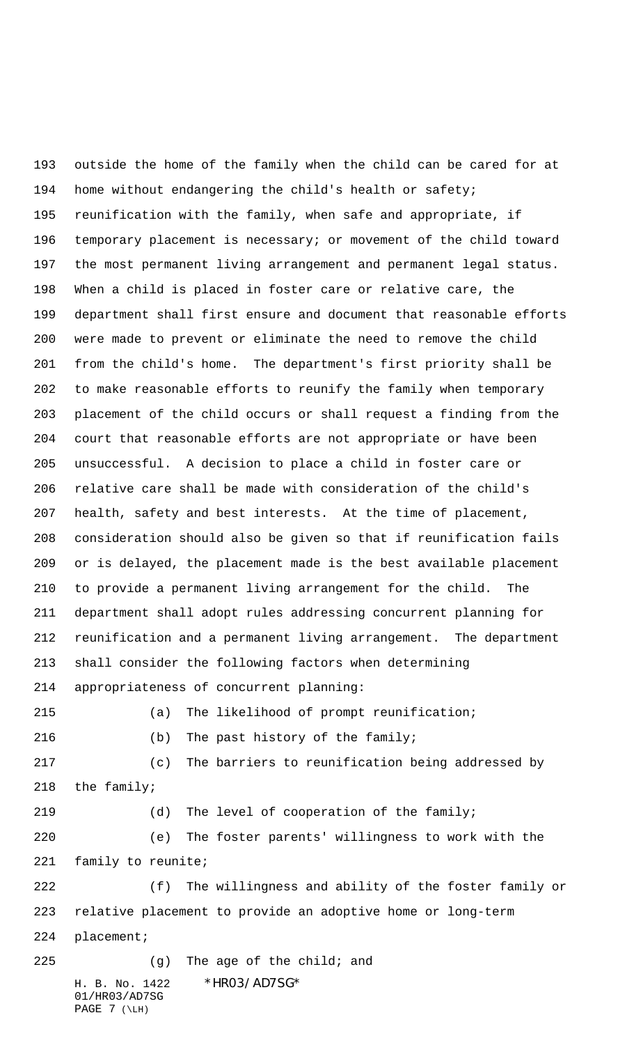H. B. No. 1422 \*HR03/AD7SG\* 01/HR03/AD7SG PAGE  $7 (\Leftrightarrow$  outside the home of the family when the child can be cared for at home without endangering the child's health or safety; reunification with the family, when safe and appropriate, if temporary placement is necessary; or movement of the child toward the most permanent living arrangement and permanent legal status. When a child is placed in foster care or relative care, the department shall first ensure and document that reasonable efforts were made to prevent or eliminate the need to remove the child from the child's home. The department's first priority shall be to make reasonable efforts to reunify the family when temporary placement of the child occurs or shall request a finding from the court that reasonable efforts are not appropriate or have been unsuccessful. A decision to place a child in foster care or relative care shall be made with consideration of the child's health, safety and best interests. At the time of placement, consideration should also be given so that if reunification fails or is delayed, the placement made is the best available placement to provide a permanent living arrangement for the child. The department shall adopt rules addressing concurrent planning for reunification and a permanent living arrangement. The department shall consider the following factors when determining appropriateness of concurrent planning: (a) The likelihood of prompt reunification; (b) The past history of the family; (c) The barriers to reunification being addressed by the family; (d) The level of cooperation of the family; (e) The foster parents' willingness to work with the family to reunite; (f) The willingness and ability of the foster family or relative placement to provide an adoptive home or long-term placement; (g) The age of the child; and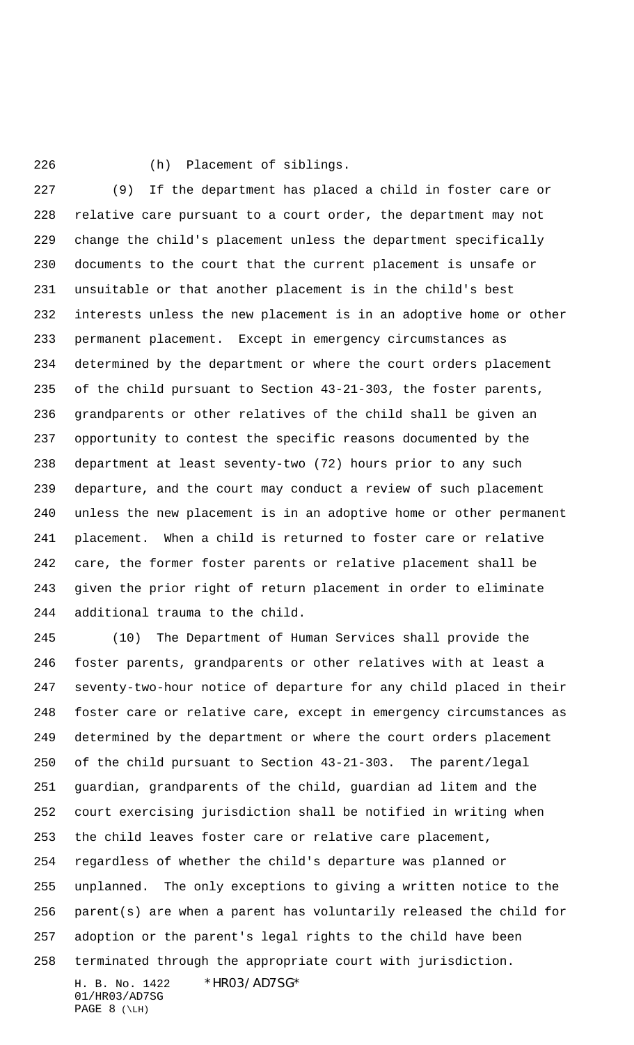(h) Placement of siblings.

 (9) If the department has placed a child in foster care or relative care pursuant to a court order, the department may not change the child's placement unless the department specifically documents to the court that the current placement is unsafe or unsuitable or that another placement is in the child's best interests unless the new placement is in an adoptive home or other permanent placement. Except in emergency circumstances as determined by the department or where the court orders placement of the child pursuant to Section 43-21-303, the foster parents, grandparents or other relatives of the child shall be given an opportunity to contest the specific reasons documented by the department at least seventy-two (72) hours prior to any such departure, and the court may conduct a review of such placement unless the new placement is in an adoptive home or other permanent placement. When a child is returned to foster care or relative care, the former foster parents or relative placement shall be given the prior right of return placement in order to eliminate additional trauma to the child.

 (10) The Department of Human Services shall provide the foster parents, grandparents or other relatives with at least a seventy-two-hour notice of departure for any child placed in their foster care or relative care, except in emergency circumstances as determined by the department or where the court orders placement of the child pursuant to Section 43-21-303. The parent/legal guardian, grandparents of the child, guardian ad litem and the court exercising jurisdiction shall be notified in writing when the child leaves foster care or relative care placement, regardless of whether the child's departure was planned or unplanned. The only exceptions to giving a written notice to the parent(s) are when a parent has voluntarily released the child for adoption or the parent's legal rights to the child have been terminated through the appropriate court with jurisdiction.

H. B. No. 1422 \* HRO3/AD7SG\* 01/HR03/AD7SG PAGE  $8 (\Leftrightarrow$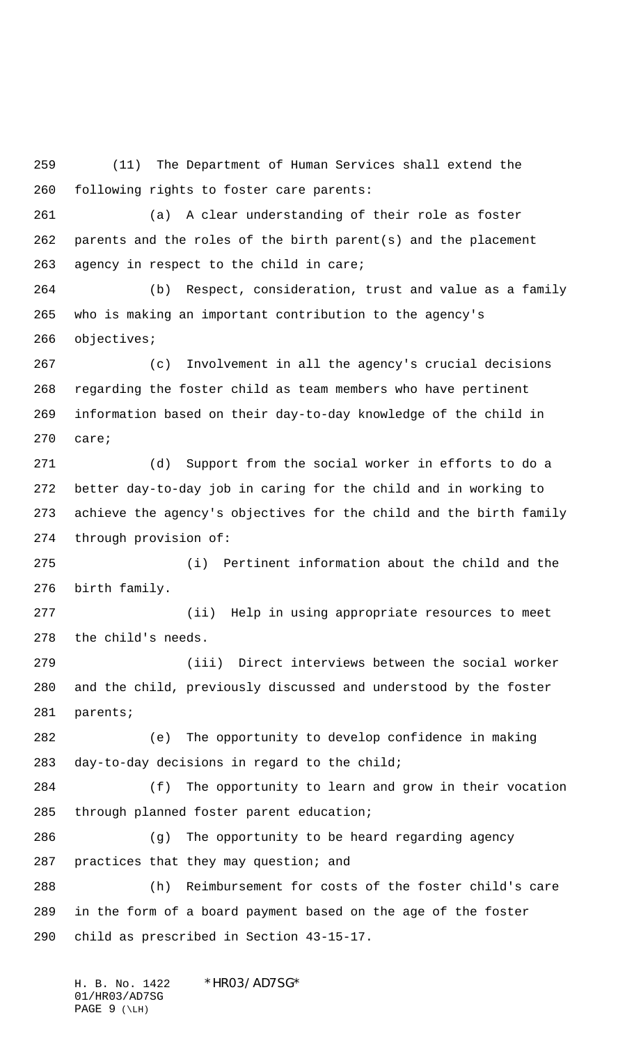(11) The Department of Human Services shall extend the following rights to foster care parents:

 (a) A clear understanding of their role as foster parents and the roles of the birth parent(s) and the placement agency in respect to the child in care;

 (b) Respect, consideration, trust and value as a family who is making an important contribution to the agency's objectives;

 (c) Involvement in all the agency's crucial decisions regarding the foster child as team members who have pertinent information based on their day-to-day knowledge of the child in care;

 (d) Support from the social worker in efforts to do a better day-to-day job in caring for the child and in working to achieve the agency's objectives for the child and the birth family through provision of:

 (i) Pertinent information about the child and the birth family.

 (ii) Help in using appropriate resources to meet the child's needs.

 (iii) Direct interviews between the social worker and the child, previously discussed and understood by the foster parents;

 (e) The opportunity to develop confidence in making day-to-day decisions in regard to the child;

 (f) The opportunity to learn and grow in their vocation through planned foster parent education;

 (g) The opportunity to be heard regarding agency practices that they may question; and

 (h) Reimbursement for costs of the foster child's care in the form of a board payment based on the age of the foster child as prescribed in Section 43-15-17.

H. B. No. 1422 \* HRO3/AD7SG\* 01/HR03/AD7SG PAGE  $9 (\Leftrightarrow$